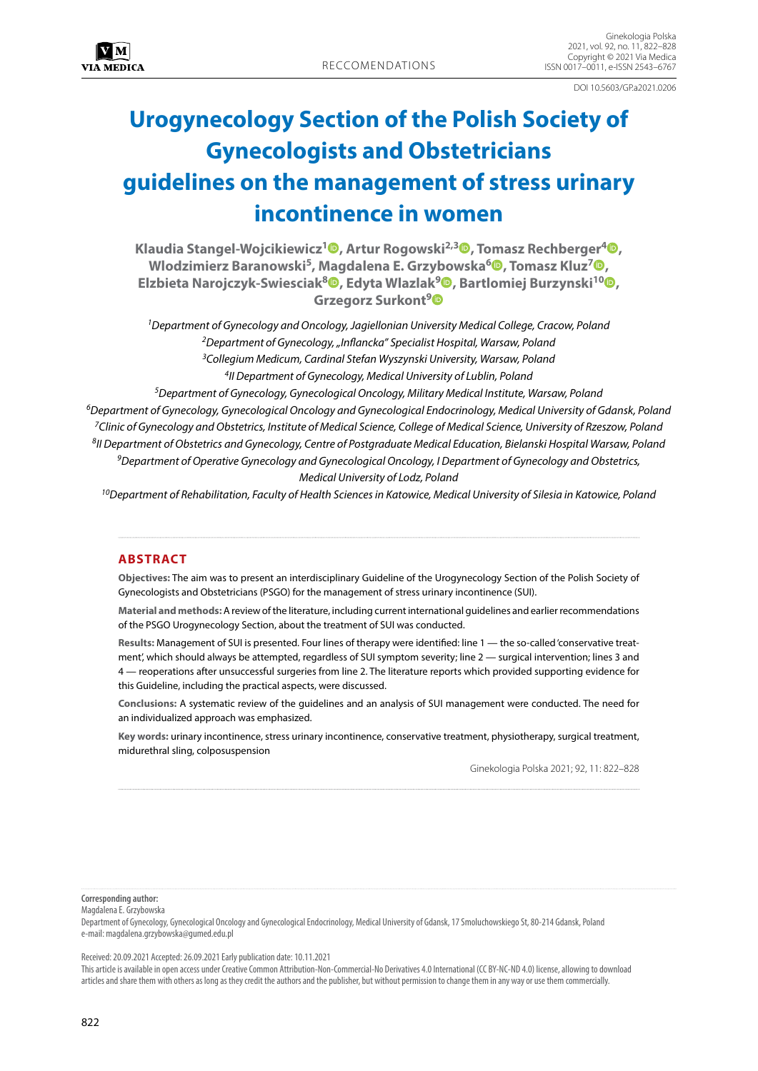DOI 10.5603/GPa2021.0206

# **Urogynecology Section of the Polish Society of Gynecologists and Obstetricians guidelines on the management of stress urinary incontinence in women**

**Klaudia Stangel-Wojcikiewicz[1](https://orcid.org/0000-0001-9773-6767) , Artur Rogowski2,[3](https://orcid.org/0000-0001-9184-1275) , Tomasz Rechberger4 [,](https://orcid.org/0000-0003-4138-332X) Wlodzimierz Baranowski5, Magdalena E. Grzybowska[6](https://orcid.org/0000-0002-5311-3450) , Tomasz Kluz[7](https://orcid.org/0000-0002-4798-3986) , Elzbieta Narojczyk-Swiesciak8 [,](https://orcid.org/0000-0002-4665-1285) Edyta Wlazlak[9](https://orcid.org/0000-0002-6453-1500) , Bartlomiej Burzynski1[0](https://orcid.org/0000-0001-5395-907X) , Grzegorz Surkont[9](https://orcid.org/0000-0002-2435-9865)**

*1Department of Gynecology and Oncology, Jagiellonian University Medical College, Cracow, Poland 2Department of Gynecology, "Inflancka" Specialist Hospital, Warsaw, Poland 3Collegium Medicum, Cardinal Stefan Wyszynski University, Warsaw, Poland 4II Department of Gynecology, Medical University of Lublin, Poland*

*5Department of Gynecology, Gynecological Oncology, Military Medical Institute, Warsaw, Poland 6Department of Gynecology, Gynecological Oncology and Gynecological Endocrinology, Medical University of Gdansk, Poland 7Clinic of Gynecology and Obstetrics, Institute of Medical Science, College of Medical Science, University of Rzeszow, Poland 8II Department of Obstetrics and Gynecology, Centre of Postgraduate Medical Education, Bielanski Hospital Warsaw, Poland 9Department of Operative Gynecology and Gynecological Oncology, I Department of Gynecology and Obstetrics, Medical University of Lodz, Poland*

*10Department of Rehabilitation, Faculty of Health Sciences in Katowice, Medical University of Silesia in Katowice, Poland*

# **ABSTRACT**

**Objectives:** The aim was to present an interdisciplinary Guideline of the Urogynecology Section of the Polish Society of Gynecologists and Obstetricians (PSGO) for the management of stress urinary incontinence (SUI).

**Material and methods:** A review of the literature, including current international guidelines and earlier recommendations of the PSGO Urogynecology Section, about the treatment of SUI was conducted.

**Results:** Management of SUI is presented. Four lines of therapy were identified: line 1 — the so-called 'conservative treatment', which should always be attempted, regardless of SUI symptom severity; line 2 — surgical intervention; lines 3 and 4 — reoperations after unsuccessful surgeries from line 2. The literature reports which provided supporting evidence for this Guideline, including the practical aspects, were discussed.

**Conclusions:** A systematic review of the guidelines and an analysis of SUI management were conducted. The need for an individualized approach was emphasized.

**Key words:** urinary incontinence, stress urinary incontinence, conservative treatment, physiotherapy, surgical treatment, midurethral sling, colposuspension

Ginekologia Polska 2021; 92, 11: 822–828

**Corresponding author:**

Magdalena E. Grzybowska

Department of Gynecology, Gynecological Oncology and Gynecological Endocrinology, Medical University of Gdansk, 17 Smoluchowskiego St, 80-214 Gdansk, Poland e-mail: magdalena.grzybowska@gumed.edu.pl

Received: 20.09.2021 Accepted: 26.09.2021 Early publication date: 10.11.2021

This article is available in open access under Creative Common Attribution-Non-Commercial-No Derivatives 4.0 International (CC BY-NC-ND 4.0) license, allowing to download articles and share them with others as long as they credit the authors and the publisher, but without permission to change them in any way or use them commercially.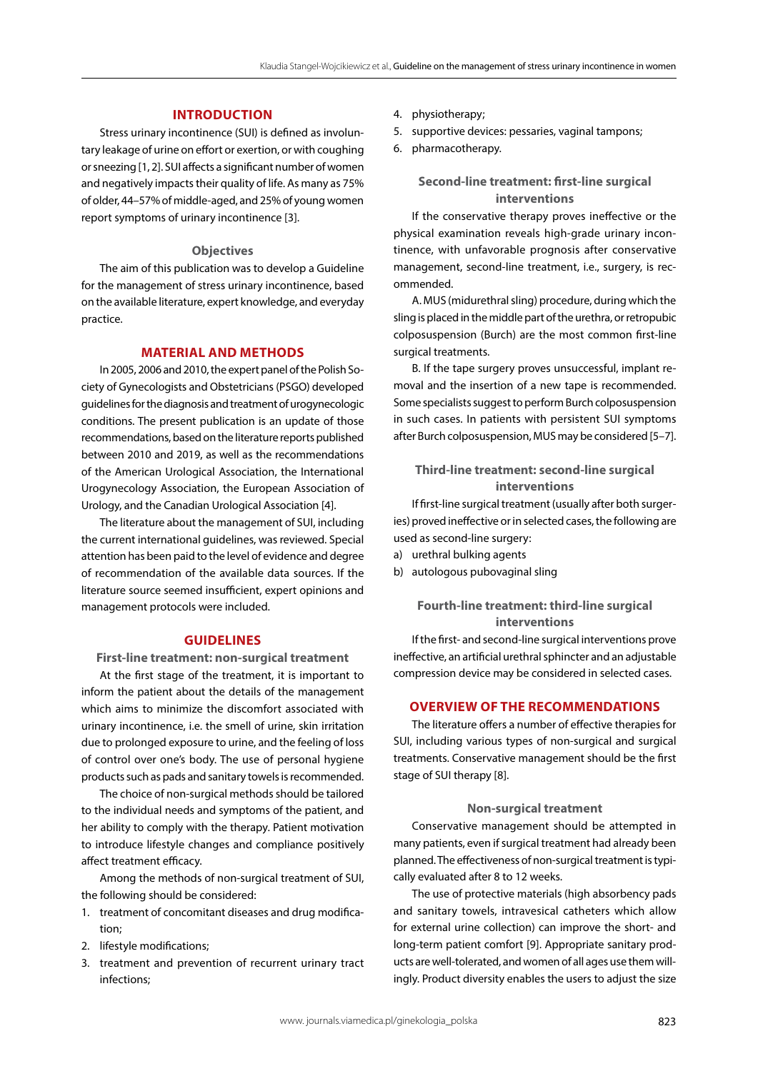# **INTRODUCTION**

Stress urinary incontinence (SUI) is defined as involuntary leakage of urine on effort or exertion, or with coughing or sneezing [1, 2]. SUI affects a significant number of women and negatively impacts their quality of life. As many as 75% of older, 44–57% of middle-aged, and 25% of young women report symptoms of urinary incontinence [3].

#### **Objectives**

The aim of this publication was to develop a Guideline for the management of stress urinary incontinence, based on the available literature, expert knowledge, and everyday practice.

# **MATERIAL AND METHODS**

In 2005, 2006 and 2010, the expert panel of the Polish Society of Gynecologists and Obstetricians (PSGO) developed guidelines for the diagnosis and treatment of urogynecologic conditions. The present publication is an update of those recommendations, based on the literature reports published between 2010 and 2019, as well as the recommendations of the American Urological Association, the International Urogynecology Association, the European Association of Urology, and the Canadian Urological Association [4].

The literature about the management of SUI, including the current international guidelines, was reviewed. Special attention has been paid to the level of evidence and degree of recommendation of the available data sources. If the literature source seemed insufficient, expert opinions and management protocols were included.

# **GUIDELINES**

**First-line treatment: non-surgical treatment**

At the first stage of the treatment, it is important to inform the patient about the details of the management which aims to minimize the discomfort associated with urinary incontinence, i.e. the smell of urine, skin irritation due to prolonged exposure to urine, and the feeling of loss of control over one's body. The use of personal hygiene products such as pads and sanitary towels is recommended.

The choice of non-surgical methods should be tailored to the individual needs and symptoms of the patient, and her ability to comply with the therapy. Patient motivation to introduce lifestyle changes and compliance positively affect treatment efficacy.

Among the methods of non-surgical treatment of SUI, the following should be considered:

- 1. treatment of concomitant diseases and drug modification;
- 2. lifestyle modifications;
- 3. treatment and prevention of recurrent urinary tract infections;
- 4. physiotherapy;
- 5. supportive devices: pessaries, vaginal tampons;
- 6. pharmacotherapy.

# **Second-line treatment: first-line surgical interventions**

If the conservative therapy proves ineffective or the physical examination reveals high-grade urinary incontinence, with unfavorable prognosis after conservative management, second-line treatment, i.e., surgery, is recommended.

A. MUS (midurethral sling) procedure, during which the sling is placed in the middle part of the urethra, or retropubic colposuspension (Burch) are the most common first-line surgical treatments.

B. If the tape surgery proves unsuccessful, implant removal and the insertion of a new tape is recommended. Some specialists suggest to perform Burch colposuspension in such cases. In patients with persistent SUI symptoms after Burch colposuspension, MUS may be considered [5–7].

# **Third-line treatment: second-line surgical interventions**

If first-line surgical treatment (usually after both surgeries) proved ineffective or in selected cases, the following are used as second-line surgery:

- a) urethral bulking agents
- b) autologous pubovaginal sling

# **Fourth-line treatment: third-line surgical interventions**

If the first- and second-line surgical interventions prove ineffective, an artificial urethral sphincter and an adjustable compression device may be considered in selected cases.

## **OVERVIEW OF THE RECOMMENDATIONS**

The literature offers a number of effective therapies for SUI, including various types of non-surgical and surgical treatments. Conservative management should be the first stage of SUI therapy [8].

#### **Non-surgical treatment**

Conservative management should be attempted in many patients, even if surgical treatment had already been planned. The effectiveness of non-surgical treatment is typically evaluated after 8 to 12 weeks.

The use of protective materials (high absorbency pads and sanitary towels, intravesical catheters which allow for external urine collection) can improve the short- and long-term patient comfort [9]. Appropriate sanitary products are well-tolerated, and women of all ages use them willingly. Product diversity enables the users to adjust the size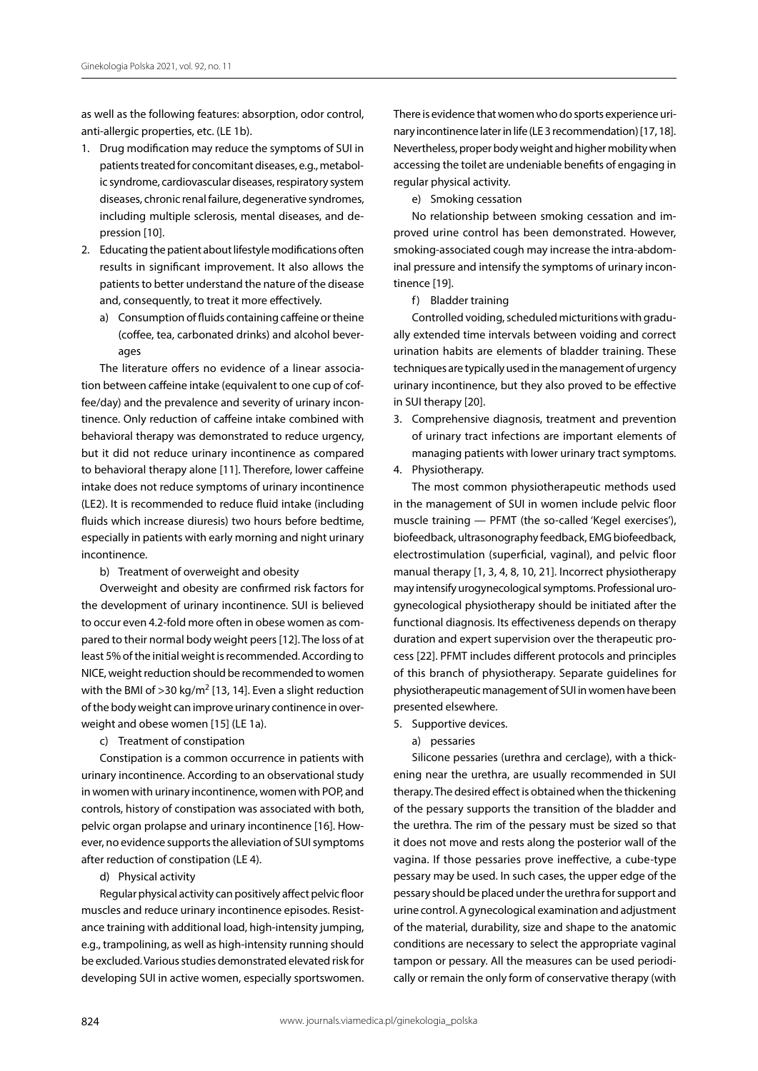as well as the following features: absorption, odor control, anti-allergic properties, etc. (LE 1b).

- 1. Drug modification may reduce the symptoms of SUI in patients treated for concomitant diseases, e.g., metabolic syndrome, cardiovascular diseases, respiratory system diseases, chronic renal failure, degenerative syndromes, including multiple sclerosis, mental diseases, and depression [10].
- 2. Educating the patient about lifestyle modifications often results in significant improvement. It also allows the patients to better understand the nature of the disease and, consequently, to treat it more effectively.
	- a) Consumption of fluids containing caffeine or theine (coffee, tea, carbonated drinks) and alcohol beverages

The literature offers no evidence of a linear association between caffeine intake (equivalent to one cup of coffee/day) and the prevalence and severity of urinary incontinence. Only reduction of caffeine intake combined with behavioral therapy was demonstrated to reduce urgency, but it did not reduce urinary incontinence as compared to behavioral therapy alone [11]. Therefore, lower caffeine intake does not reduce symptoms of urinary incontinence (LE2). It is recommended to reduce fluid intake (including fluids which increase diuresis) two hours before bedtime, especially in patients with early morning and night urinary incontinence.

b) Treatment of overweight and obesity

Overweight and obesity are confirmed risk factors for the development of urinary incontinence. SUI is believed to occur even 4.2-fold more often in obese women as compared to their normal body weight peers [12]. The loss of at least 5% of the initial weight is recommended. According to NICE, weight reduction should be recommended to women with the BMI of  $>$ 30 kg/m<sup>2</sup> [13, 14]. Even a slight reduction of the body weight can improve urinary continence in overweight and obese women [15] (LE 1a).

c) Treatment of constipation

Constipation is a common occurrence in patients with urinary incontinence. According to an observational study in women with urinary incontinence, women with POP, and controls, history of constipation was associated with both, pelvic organ prolapse and urinary incontinence [16]. However, no evidence supports the alleviation of SUI symptoms after reduction of constipation (LE 4).

d) Physical activity

Regular physical activity can positively affect pelvic floor muscles and reduce urinary incontinence episodes. Resistance training with additional load, high-intensity jumping, e.g., trampolining, as well as high-intensity running should be excluded. Various studies demonstrated elevated risk for developing SUI in active women, especially sportswomen. There is evidence that women who do sports experience urinary incontinence later in life (LE 3 recommendation) [17, 18]. Nevertheless, proper body weight and higher mobility when accessing the toilet are undeniable benefits of engaging in regular physical activity.

e) Smoking cessation

No relationship between smoking cessation and improved urine control has been demonstrated. However, smoking-associated cough may increase the intra-abdominal pressure and intensify the symptoms of urinary incontinence [19].

f) Bladder training

Controlled voiding, scheduled micturitions with gradually extended time intervals between voiding and correct urination habits are elements of bladder training. These techniques are typically used in the management of urgency urinary incontinence, but they also proved to be effective in SUI therapy [20].

- 3. Comprehensive diagnosis, treatment and prevention of urinary tract infections are important elements of managing patients with lower urinary tract symptoms.
- 4. Physiotherapy.

The most common physiotherapeutic methods used in the management of SUI in women include pelvic floor muscle training — PFMT (the so-called 'Kegel exercises'), biofeedback, ultrasonography feedback, EMG biofeedback, electrostimulation (superficial, vaginal), and pelvic floor manual therapy [1, 3, 4, 8, 10, 21]. Incorrect physiotherapy may intensify urogynecological symptoms. Professional urogynecological physiotherapy should be initiated after the functional diagnosis. Its effectiveness depends on therapy duration and expert supervision over the therapeutic process [22]. PFMT includes different protocols and principles of this branch of physiotherapy. Separate guidelines for physiotherapeutic management of SUI in women have been presented elsewhere.

- 5. Supportive devices.
	- a) pessaries

Silicone pessaries (urethra and cerclage), with a thickening near the urethra, are usually recommended in SUI therapy. The desired effect is obtained when the thickening of the pessary supports the transition of the bladder and the urethra. The rim of the pessary must be sized so that it does not move and rests along the posterior wall of the vagina. If those pessaries prove ineffective, a cube-type pessary may be used. In such cases, the upper edge of the pessary should be placed under the urethra for support and urine control. A gynecological examination and adjustment of the material, durability, size and shape to the anatomic conditions are necessary to select the appropriate vaginal tampon or pessary. All the measures can be used periodically or remain the only form of conservative therapy (with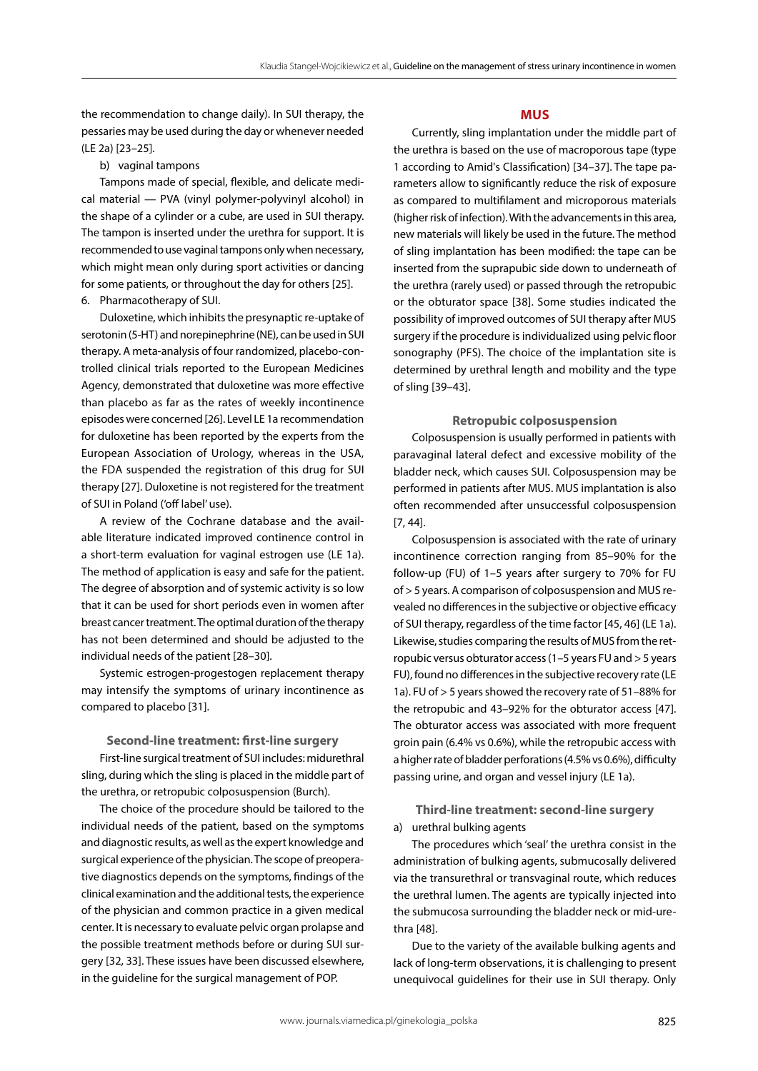the recommendation to change daily). In SUI therapy, the pessaries may be used during the day or whenever needed (LE 2a) [23–25].

## b) vaginal tampons

Tampons made of special, flexible, and delicate medical material — PVA (vinyl polymer-polyvinyl alcohol) in the shape of a cylinder or a cube, are used in SUI therapy. The tampon is inserted under the urethra for support. It is recommended to use vaginal tampons only when necessary, which might mean only during sport activities or dancing for some patients, or throughout the day for others [25]. 6. Pharmacotherapy of SUI.

Duloxetine, which inhibits the presynaptic re-uptake of serotonin (5-HT) and norepinephrine (NE), can be used in SUI therapy. A meta-analysis of four randomized, placebo-controlled clinical trials reported to the European Medicines Agency, demonstrated that duloxetine was more effective than placebo as far as the rates of weekly incontinence episodes were concerned [26]. Level LE 1a recommendation for duloxetine has been reported by the experts from the European Association of Urology, whereas in the USA, the FDA suspended the registration of this drug for SUI therapy [27]. Duloxetine is not registered for the treatment of SUI in Poland ('off label' use).

A review of the Cochrane database and the available literature indicated improved continence control in a short-term evaluation for vaginal estrogen use (LE 1a). The method of application is easy and safe for the patient. The degree of absorption and of systemic activity is so low that it can be used for short periods even in women after breast cancer treatment. The optimal duration of the therapy has not been determined and should be adjusted to the individual needs of the patient [28–30].

Systemic estrogen-progestogen replacement therapy may intensify the symptoms of urinary incontinence as compared to placebo [31].

#### **Second-line treatment: first-line surgery**

First-line surgical treatment of SUI includes: midurethral sling, during which the sling is placed in the middle part of the urethra, or retropubic colposuspension (Burch).

The choice of the procedure should be tailored to the individual needs of the patient, based on the symptoms and diagnostic results, as well as the expert knowledge and surgical experience of the physician. The scope of preoperative diagnostics depends on the symptoms, findings of the clinical examination and the additional tests, the experience of the physician and common practice in a given medical center. It is necessary to evaluate pelvic organ prolapse and the possible treatment methods before or during SUI surgery [32, 33]. These issues have been discussed elsewhere, in the guideline for the surgical management of POP.

## **MUS**

Currently, sling implantation under the middle part of the urethra is based on the use of macroporous tape (type 1 according to Amid's Classification) [34–37]. The tape parameters allow to significantly reduce the risk of exposure as compared to multifilament and microporous materials (higher risk of infection). With the advancements in this area, new materials will likely be used in the future. The method of sling implantation has been modified: the tape can be inserted from the suprapubic side down to underneath of the urethra (rarely used) or passed through the retropubic or the obturator space [38]. Some studies indicated the possibility of improved outcomes of SUI therapy after MUS surgery if the procedure is individualized using pelvic floor sonography (PFS). The choice of the implantation site is determined by urethral length and mobility and the type of sling [39–43].

#### **Retropubic colposuspension**

Colposuspension is usually performed in patients with paravaginal lateral defect and excessive mobility of the bladder neck, which causes SUI. Colposuspension may be performed in patients after MUS. MUS implantation is also often recommended after unsuccessful colposuspension [7, 44].

Colposuspension is associated with the rate of urinary incontinence correction ranging from 85–90% for the follow-up (FU) of 1–5 years after surgery to 70% for FU of > 5 years. A comparison of colposuspension and MUS revealed no differences in the subjective or objective efficacy of SUI therapy, regardless of the time factor [45, 46] (LE 1a). Likewise, studies comparing the results of MUS from the retropubic versus obturator access (1–5 years FU and > 5 years FU), found no differences in the subjective recovery rate (LE 1a). FU of > 5 years showed the recovery rate of 51–88% for the retropubic and 43–92% for the obturator access [47]. The obturator access was associated with more frequent groin pain (6.4% vs 0.6%), while the retropubic access with a higher rate of bladder perforations (4.5% vs 0.6%), difficulty passing urine, and organ and vessel injury (LE 1a).

# **Third-line treatment: second-line surgery**

a) urethral bulking agents

The procedures which 'seal' the urethra consist in the administration of bulking agents, submucosally delivered via the transurethral or transvaginal route, which reduces the urethral lumen. The agents are typically injected into the submucosa surrounding the bladder neck or mid-urethra [48].

Due to the variety of the available bulking agents and lack of long-term observations, it is challenging to present unequivocal guidelines for their use in SUI therapy. Only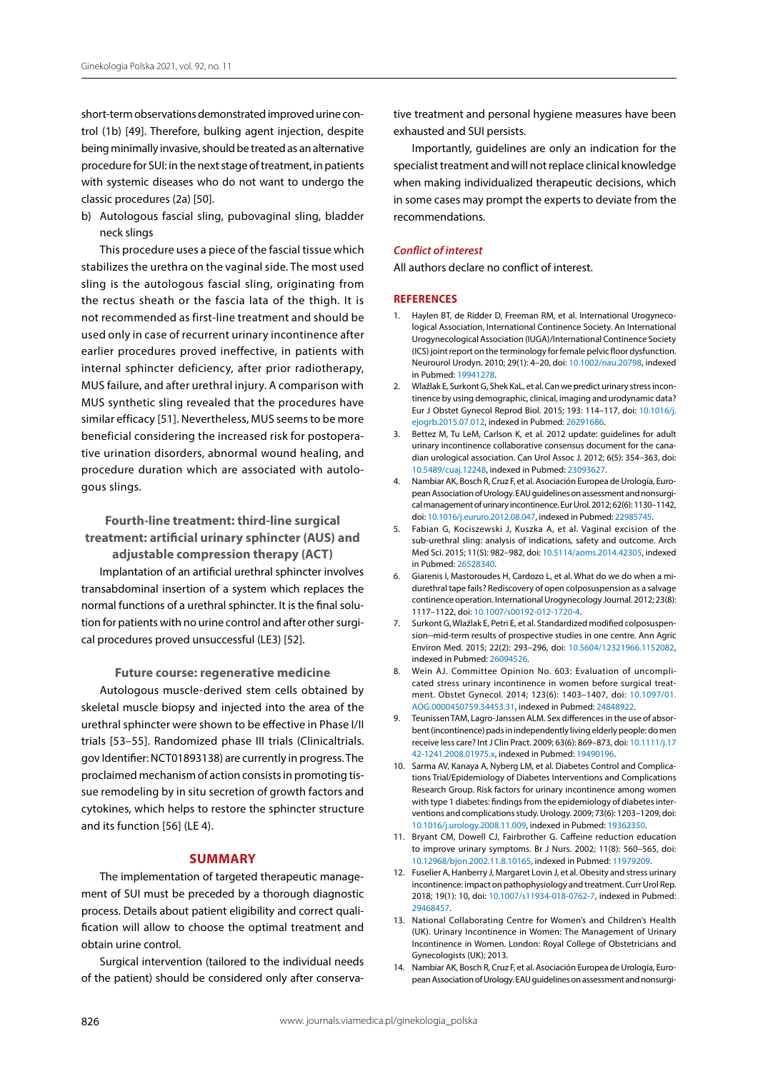short-term observations demonstrated improved urine control (1b) [49]. Therefore, bulking agent injection, despite being minimally invasive, should be treated as an alternative procedure for SUI: in the next stage of treatment, in patients with systemic diseases who do not want to undergo the classic procedures (2a) [50].

b) Autologous fascial sling, pubovaginal sling, bladder neck slings

This procedure uses a piece of the fascial tissue which stabilizes the urethra on the vaginal side. The most used sling is the autologous fascial sling, originating from the rectus sheath or the fascia lata of the thigh. It is not recommended as first-line treatment and should be used only in case of recurrent urinary incontinence after earlier procedures proved ineffective, in patients with internal sphincter deficiency, after prior radiotherapy, MUS failure, and after urethral injury. A comparison with MUS synthetic sling revealed that the procedures have similar efficacy [51]. Nevertheless, MUS seems to be more beneficial considering the increased risk for postoperative urination disorders, abnormal wound healing, and procedure duration which are associated with autologous slings.

**Fourth-line treatment: third-line surgical treatment: artificial urinary sphincter (AUS) and adjustable compression therapy (ACT)**

Implantation of an artificial urethral sphincter involves transabdominal insertion of a system which replaces the normal functions of a urethral sphincter. It is the final solution for patients with no urine control and after other surgical procedures proved unsuccessful (LE3) [52].

**Future course: regenerative medicine**  Autologous muscle-derived stem cells obtained by skeletal muscle biopsy and injected into the area of the urethral sphincter were shown to be effective in Phase I/II trials [53–55]. Randomized phase III trials (Clinicaltrials. gov Identifier: NCT01893138) are currently in progress. The proclaimed mechanism of action consists in promoting tissue remodeling by in situ secretion of growth factors and cytokines, which helps to restore the sphincter structure and its function [56] (LE 4).

## **SUMMARY**

The implementation of targeted therapeutic management of SUI must be preceded by a thorough diagnostic process. Details about patient eligibility and correct qualification will allow to choose the optimal treatment and obtain urine control.

Surgical intervention (tailored to the individual needs of the patient) should be considered only after conservative treatment and personal hygiene measures have been exhausted and SUI persists.

Importantly, guidelines are only an indication for the specialist treatment and will not replace clinical knowledge when making individualized therapeutic decisions, which in some cases may prompt the experts to deviate from the recommendations.

#### *Conflict of interest*

All authors declare no conflict of interest.

#### **References**

- 1. Haylen BT, de Ridder D, Freeman RM, et al. International Urogynecological Association, International Continence Society. An International Urogynecological Association (IUGA)/International Continence Society (ICS) joint report on the terminology for female pelvic floor dysfunction. Neurourol Urodyn. 2010; 29(1): 4–20, doi: [10.1002/nau.20798](http://dx.doi.org/10.1002/nau.20798), indexed in Pubmed: [19941278](https://www.ncbi.nlm.nih.gov/pubmed/19941278).
- 2. Wlaźlak E, Surkont G, Shek KaL, et al. Can we predict urinary stress incontinence by using demographic, clinical, imaging and urodynamic data? Eur J Obstet Gynecol Reprod Biol. 2015; 193: 114–117, doi: [10.1016/j.](http://dx.doi.org/10.1016/j.ejogrb.2015.07.012) [ejogrb.2015.07.012,](http://dx.doi.org/10.1016/j.ejogrb.2015.07.012) indexed in Pubmed: [26291686](https://www.ncbi.nlm.nih.gov/pubmed/26291686).
- 3. Bettez M, Tu LeM, Carlson K, et al. 2012 update: guidelines for adult urinary incontinence collaborative consensus document for the canadian urological association. Can Urol Assoc J. 2012; 6(5): 354–363, doi: [10.5489/cuaj.12248,](http://dx.doi.org/10.5489/cuaj.12248) indexed in Pubmed: [23093627](https://www.ncbi.nlm.nih.gov/pubmed/23093627).
- 4. Nambiar AK, Bosch R, Cruz F, et al. Asociación Europea de Urología, European Association of Urology. EAU guidelines on assessment and nonsurgical management of urinary incontinence. Eur Urol. 2012; 62(6): 1130–1142, doi: [10.1016/j.eururo.2012.08.047,](http://dx.doi.org/10.1016/j.eururo.2012.08.047) indexed in Pubmed: [22985745](https://www.ncbi.nlm.nih.gov/pubmed/22985745).
- 5. Fabian G, Kociszewski J, Kuszka A, et al. Vaginal excision of the sub-urethral sling: analysis of indications, safety and outcome. Arch Med Sci. 2015; 11(5): 982–982, doi: [10.5114/aoms.2014.42305](http://dx.doi.org/10.5114/aoms.2014.42305), indexed in Pubmed: [26528340](https://www.ncbi.nlm.nih.gov/pubmed/26528340).
- 6. Giarenis I, Mastoroudes H, Cardozo L, et al. What do we do when a midurethral tape fails? Rediscovery of open colposuspension as a salvage continence operation. International Urogynecology Journal. 2012; 23(8): 1117–1122, doi: [10.1007/s00192-012-1720-4.](http://dx.doi.org/10.1007/s00192-012-1720-4)
- 7. Surkont G, Wlaźlak E, Petri E, et al. Standardized modified colposuspension--mid-term results of prospective studies in one centre. Ann Agric Environ Med. 2015; 22(2): 293–296, doi: [10.5604/12321966.1152082](http://dx.doi.org/10.5604/12321966.1152082), indexed in Pubmed: [26094526.](https://www.ncbi.nlm.nih.gov/pubmed/26094526)
- 8. Wein AJ. Committee Opinion No. 603: Evaluation of uncomplicated stress urinary incontinence in women before surgical treatment. Obstet Gynecol. 2014; 123(6): 1403–1407, doi: [10.1097/01.](http://dx.doi.org/10.1097/01.AOG.0000450759.34453.31) [AOG.0000450759.34453.31,](http://dx.doi.org/10.1097/01.AOG.0000450759.34453.31) indexed in Pubmed: [24848922](https://www.ncbi.nlm.nih.gov/pubmed/24848922).
- 9. Teunissen TAM, Lagro-Janssen ALM. Sex differences in the use of absorbent (incontinence) pads in independently living elderly people: do men receive less care? Int J Clin Pract. 2009; 63(6): 869–873, doi: [10.1111/j.17](http://dx.doi.org/10.1111/j.1742-1241.2008.01975.x) [42-1241.2008.01975.x,](http://dx.doi.org/10.1111/j.1742-1241.2008.01975.x) indexed in Pubmed: [19490196](https://www.ncbi.nlm.nih.gov/pubmed/19490196).
- 10. Sarma AV, Kanaya A, Nyberg LM, et al. Diabetes Control and Complications Trial/Epidemiology of Diabetes Interventions and Complications Research Group. Risk factors for urinary incontinence among women with type 1 diabetes: findings from the epidemiology of diabetes interventions and complications study. Urology. 2009; 73(6): 1203–1209, doi: [10.1016/j.urology.2008.11.009,](http://dx.doi.org/10.1016/j.urology.2008.11.009) indexed in Pubmed: [19362350.](https://www.ncbi.nlm.nih.gov/pubmed/19362350)
- 11. Bryant CM, Dowell CJ, Fairbrother G. Caffeine reduction education to improve urinary symptoms. Br J Nurs. 2002; 11(8): 560–565, doi: [10.12968/bjon.2002.11.8.10165](http://dx.doi.org/10.12968/bjon.2002.11.8.10165), indexed in Pubmed: [11979209.](https://www.ncbi.nlm.nih.gov/pubmed/11979209)
- 12. Fuselier A, Hanberry J, Margaret Lovin J, et al. Obesity and stress urinary incontinence: impact on pathophysiology and treatment. Curr Urol Rep. 2018; 19(1): 10, doi: [10.1007/s11934-018-0762-7](http://dx.doi.org/10.1007/s11934-018-0762-7), indexed in Pubmed: [29468457.](https://www.ncbi.nlm.nih.gov/pubmed/29468457)
- 13. National Collaborating Centre for Women's and Children's Health (UK). Urinary Incontinence in Women: The Management of Urinary Incontinence in Women. London: Royal College of Obstetricians and Gynecologists (UK); 2013.
- 14. Nambiar AK, Bosch R, Cruz F, et al. Asociación Europea de Urología, European Association of Urology. EAU guidelines on assessment and nonsurgi-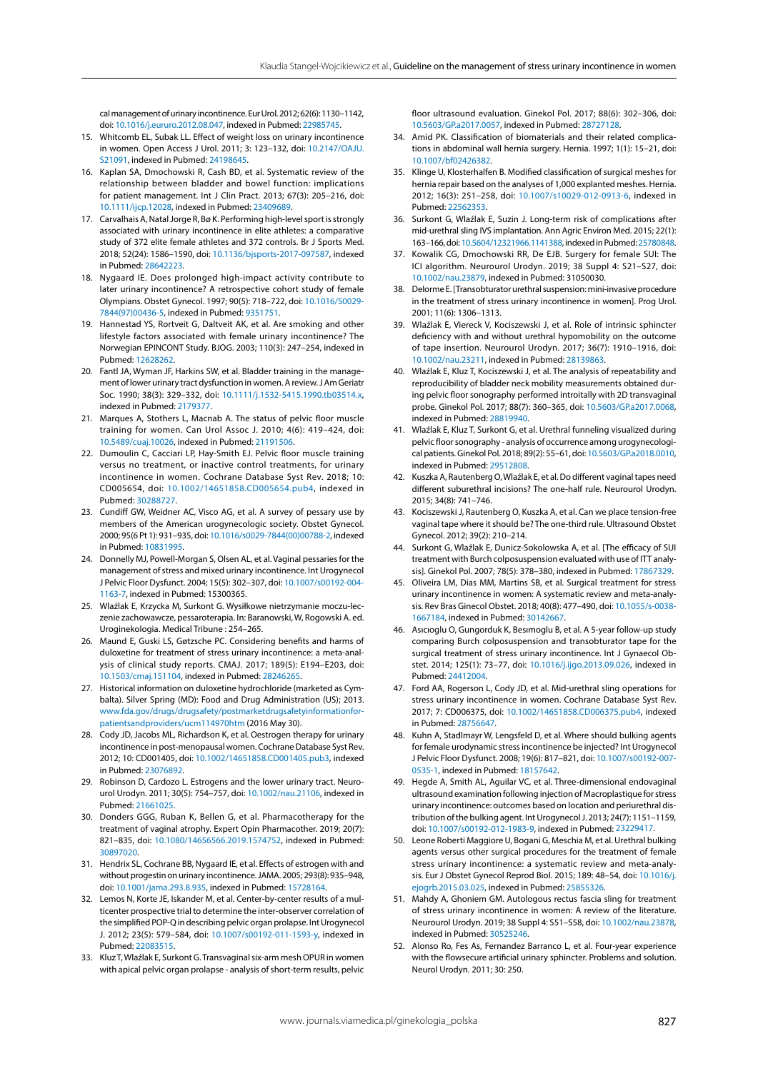cal management of urinary incontinence. Eur Urol. 2012; 62(6): 1130–1142, doi: [10.1016/j.eururo.2012.08.047](http://dx.doi.org/10.1016/j.eururo.2012.08.047), indexed in Pubmed: [22985745](https://www.ncbi.nlm.nih.gov/pubmed/22985745).

- 15. Whitcomb EL, Subak LL. Effect of weight loss on urinary incontinence in women. Open Access J Urol. 2011; 3: 123–132, doi: [10.2147/OAJU.](http://dx.doi.org/10.2147/OAJU.S21091) [S21091,](http://dx.doi.org/10.2147/OAJU.S21091) indexed in Pubmed: [24198645](https://www.ncbi.nlm.nih.gov/pubmed/24198645).
- 16. Kaplan SA, Dmochowski R, Cash BD, et al. Systematic review of the relationship between bladder and bowel function: implications for patient management. Int J Clin Pract. 2013; 67(3): 205–216, doi: [10.1111/ijcp.12028,](http://dx.doi.org/10.1111/ijcp.12028) indexed in Pubmed: [23409689](https://www.ncbi.nlm.nih.gov/pubmed/23409689).
- 17. Carvalhais A, Natal Jorge R, Bø K. Performing high-level sport is strongly associated with urinary incontinence in elite athletes: a comparative study of 372 elite female athletes and 372 controls. Br J Sports Med. 2018; 52(24): 1586–1590, doi: [10.1136/bjsports-2017-097587,](http://dx.doi.org/10.1136/bjsports-2017-097587) indexed in Pubmed: [28642223.](https://www.ncbi.nlm.nih.gov/pubmed/28642223)
- 18. Nygaard IE. Does prolonged high-impact activity contribute to later urinary incontinence? A retrospective cohort study of female Olympians. Obstet Gynecol. 1997; 90(5): 718–722, doi: [10.1016/S0029-](http://dx.doi.org/10.1016/S0029-7844(97)00436-5) [7844\(97\)00436-5,](http://dx.doi.org/10.1016/S0029-7844(97)00436-5) indexed in Pubmed: [9351751.](https://www.ncbi.nlm.nih.gov/pubmed/9351751)
- 19. Hannestad YS, Rortveit G, Daltveit AK, et al. Are smoking and other lifestyle factors associated with female urinary incontinence? The Norwegian EPINCONT Study. BJOG. 2003; 110(3): 247–254, indexed in Pubmed: [12628262.](https://www.ncbi.nlm.nih.gov/pubmed/12628262)
- 20. Fantl JA, Wyman JF, Harkins SW, et al. Bladder training in the management of lower urinary tract dysfunction in women. A review. J Am Geriatr Soc. 1990; 38(3): 329–332, doi: [10.1111/j.1532-5415.1990.tb03514.x,](http://dx.doi.org/10.1111/j.1532-5415.1990.tb03514.x) indexed in Pubmed: [2179377](https://www.ncbi.nlm.nih.gov/pubmed/2179377).
- 21. Marques A, Stothers L, Macnab A. The status of pelvic floor muscle training for women. Can Urol Assoc J. 2010; 4(6): 419–424, doi: [10.5489/cuaj.10026](http://dx.doi.org/10.5489/cuaj.10026), indexed in Pubmed: [21191506.](https://www.ncbi.nlm.nih.gov/pubmed/21191506)
- 22. Dumoulin C, Cacciari LP, Hay-Smith EJ. Pelvic floor muscle training versus no treatment, or inactive control treatments, for urinary incontinence in women. Cochrane Database Syst Rev. 2018; 10: CD005654, doi: [10.1002/14651858.CD005654.pub4,](http://dx.doi.org/10.1002/14651858.CD005654.pub4) indexed in Pubmed: [30288727.](https://www.ncbi.nlm.nih.gov/pubmed/30288727)
- 23. Cundiff GW, Weidner AC, Visco AG, et al. A survey of pessary use by members of the American urogynecologic society. Obstet Gynecol. 2000; 95(6 Pt 1): 931–935, doi: [10.1016/s0029-7844\(00\)00788-2](http://dx.doi.org/10.1016/s0029-7844(00)00788-2), indexed in Pubmed: [10831995.](https://www.ncbi.nlm.nih.gov/pubmed/10831995)
- 24. Donnelly MJ, Powell-Morgan S, Olsen AL, et al. Vaginal pessaries for the management of stress and mixed urinary incontinence. Int Urogynecol J Pelvic Floor Dysfunct. 2004; 15(5): 302–307, doi: [10.1007/s00192-004-](http://dx.doi.org/10.1007/s00192-004-1163-7) [1163-7,](http://dx.doi.org/10.1007/s00192-004-1163-7) indexed in Pubmed: 15300365.
- 25. Wlaźlak E, Krzycka M, Surkont G. Wysiłkowe nietrzymanie moczu-leczenie zachowawcze, pessaroterapia. In: Baranowski, W, Rogowski A. ed. Uroginekologia. Medical Tribune : 254–265.
- 26. Maund E, Guski LS, Gøtzsche PC. Considering benefits and harms of duloxetine for treatment of stress urinary incontinence: a meta-analysis of clinical study reports. CMAJ. 2017; 189(5): E194–E203, doi: [10.1503/cmaj.151104,](http://dx.doi.org/10.1503/cmaj.151104) indexed in Pubmed: [28246265](https://www.ncbi.nlm.nih.gov/pubmed/28246265).
- 27. Historical information on duloxetine hydrochloride (marketed as Cymbalta). Silver Spring (MD): Food and Drug Administration (US); 2013. [www.fda.gov/drugs/drugsafety/postmarketdrugsafetyinformationfor](https://journals.viamedica.pl/ginekologia_polska/editor/submissionCitations/www.fda.gov/drugs/drugsafety/postmarketdrugsafetyinformationforpatientsandproviders/ucm114970htm)[patientsandproviders/ucm114970htm](https://journals.viamedica.pl/ginekologia_polska/editor/submissionCitations/www.fda.gov/drugs/drugsafety/postmarketdrugsafetyinformationforpatientsandproviders/ucm114970htm) (2016 May 30).
- 28. Cody JD, Jacobs ML, Richardson K, et al. Oestrogen therapy for urinary incontinence in post-menopausal women. Cochrane Database Syst Rev. 2012; 10: CD001405, doi: [10.1002/14651858.CD001405.pub3,](http://dx.doi.org/10.1002/14651858.CD001405.pub3) indexed in Pubmed: [23076892.](https://www.ncbi.nlm.nih.gov/pubmed/23076892)
- 29. Robinson D, Cardozo L. Estrogens and the lower urinary tract. Neurourol Urodyn. 2011; 30(5): 754–757, doi: [10.1002/nau.21106,](http://dx.doi.org/10.1002/nau.21106) indexed in Pubmed: [21661025.](https://www.ncbi.nlm.nih.gov/pubmed/21661025)
- 30. Donders GGG, Ruban K, Bellen G, et al. Pharmacotherapy for the treatment of vaginal atrophy. Expert Opin Pharmacother. 2019; 20(7): 821–835, doi: [10.1080/14656566.2019.1574752,](http://dx.doi.org/10.1080/14656566.2019.1574752) indexed in Pubmed: [30897020](https://www.ncbi.nlm.nih.gov/pubmed/30897020).
- 31. Hendrix SL, Cochrane BB, Nygaard IE, et al. Effects of estrogen with and without progestin on urinary incontinence. JAMA. 2005; 293(8): 935–948, doi: [10.1001/jama.293.8.935](http://dx.doi.org/10.1001/jama.293.8.935), indexed in Pubmed: [15728164](https://www.ncbi.nlm.nih.gov/pubmed/15728164).
- 32. Lemos N, Korte JE, Iskander M, et al. Center-by-center results of a multicenter prospective trial to determine the inter-observer correlation of the simplified POP-Q in describing pelvic organ prolapse. Int Urogynecol J. 2012; 23(5): 579–584, doi: [10.1007/s00192-011-1593-y,](http://dx.doi.org/10.1007/s00192-011-1593-y) indexed in Pubmed: [22083515.](https://www.ncbi.nlm.nih.gov/pubmed/22083515)
- 33. Kluz T, Wlaźlak E, Surkont G. Transvaginal six-arm mesh OPUR in women with apical pelvic organ prolapse - analysis of short-term results, pelvic

floor ultrasound evaluation. Ginekol Pol. 2017; 88(6): 302–306, doi: [10.5603/GP.a2017.0057,](http://dx.doi.org/10.5603/GP.a2017.0057) indexed in Pubmed: [28727128](https://www.ncbi.nlm.nih.gov/pubmed/28727128).

- 34. Amid PK. Classification of biomaterials and their related complications in abdominal wall hernia surgery. Hernia. 1997; 1(1): 15–21, doi: [10.1007/bf02426382](http://dx.doi.org/10.1007/bf02426382).
- 35. Klinge U, Klosterhalfen B. Modified classification of surgical meshes for hernia repair based on the analyses of 1,000 explanted meshes. Hernia. 2012; 16(3): 251–258, doi: [10.1007/s10029-012-0913-6](http://dx.doi.org/10.1007/s10029-012-0913-6), indexed in Pubmed: [22562353](https://www.ncbi.nlm.nih.gov/pubmed/22562353).
- 36. Surkont G, Wlaźlak E, Suzin J. Long-term risk of complications after mid-urethral sling IVS implantation. Ann Agric Environ Med. 2015; 22(1): 163–166, doi: [10.5604/12321966.1141388](http://dx.doi.org/10.5604/12321966.1141388), indexed in Pubmed: [25780848](https://www.ncbi.nlm.nih.gov/pubmed/25780848).
- 37. Kowalik CG, Dmochowski RR, De EJB. Surgery for female SUI: The ICI algorithm. Neurourol Urodyn. 2019; 38 Suppl 4: S21–S27, doi: [10.1002/nau.23879,](http://dx.doi.org/10.1002/nau.23879) indexed in Pubmed: 31050030.
- 38. Delorme E. [Transobturator urethral suspension: mini-invasive procedure in the treatment of stress urinary incontinence in women]. Prog Urol. 2001; 11(6): 1306–1313.
- 39. Wlaźlak E, Viereck V, Kociszewski J, et al. Role of intrinsic sphincter deficiency with and without urethral hypomobility on the outcome of tape insertion. Neurourol Urodyn. 2017; 36(7): 1910–1916, doi: [10.1002/nau.23211,](http://dx.doi.org/10.1002/nau.23211) indexed in Pubmed: [28139863](https://www.ncbi.nlm.nih.gov/pubmed/28139863).
- 40. Wlaźlak E, Kluz T, Kociszewski J, et al. The analysis of repeatability and reproducibility of bladder neck mobility measurements obtained during pelvic floor sonography performed introitally with 2D transvaginal probe. Ginekol Pol. 2017; 88(7): 360–365, doi: [10.5603/GP.a2017.0068](http://dx.doi.org/10.5603/GP.a2017.0068), indexed in Pubmed: [28819940.](https://www.ncbi.nlm.nih.gov/pubmed/28819940)
- 41. Wlaźlak E, Kluz T, Surkont G, et al. Urethral funneling visualized during pelvic floor sonography - analysis of occurrence among urogynecological patients. Ginekol Pol. 2018; 89(2): 55–61, doi: [10.5603/GP.a2018.0010](http://dx.doi.org/10.5603/GP.a2018.0010), indexed in Pubmed: [29512808.](https://www.ncbi.nlm.nih.gov/pubmed/29512808)
- 42. Kuszka A, Rautenberg O, Wlaźlak E, et al. Do different vaginal tapes need different suburethral incisions? The one-half rule. Neurourol Urodyn. 2015; 34(8): 741–746.
- 43. Kociszewski J, Rautenberg O, Kuszka A, et al. Can we place tension-free vaginal tape where it should be? The one-third rule. Ultrasound Obstet Gynecol. 2012; 39(2): 210–214.
- 44. Surkont G, Wlaźlak E, Dunicz-Sokolowska A, et al. [The efficacy of SUI treatment with Burch colposuspension evaluated with use of ITT analysis]. Ginekol Pol. 2007; 78(5): 378–380, indexed in Pubmed: [17867329](https://www.ncbi.nlm.nih.gov/pubmed/17867329).
- 45. Oliveira LM, Dias MM, Martins SB, et al. Surgical treatment for stress urinary incontinence in women: A systematic review and meta-analysis. Rev Bras Ginecol Obstet. 2018; 40(8): 477–490, doi: [10.1055/s-0038-](http://dx.doi.org/10.1055/s-0038-1667184) [1667184](http://dx.doi.org/10.1055/s-0038-1667184), indexed in Pubmed: [30142667.](https://www.ncbi.nlm.nih.gov/pubmed/30142667)
- 46. Asıcıoglu O, Gungorduk K, Besımoglu B, et al. A 5-year follow-up study comparing Burch colposuspension and transobturator tape for the surgical treatment of stress urinary incontinence. Int J Gynaecol Obstet. 2014; 125(1): 73–77, doi: [10.1016/j.ijgo.2013.09.026](http://dx.doi.org/10.1016/j.ijgo.2013.09.026), indexed in Pubmed: [24412004](https://www.ncbi.nlm.nih.gov/pubmed/24412004).
- 47. Ford AA, Rogerson L, Cody JD, et al. Mid-urethral sling operations for stress urinary incontinence in women. Cochrane Database Syst Rev. 2017; 7: CD006375, doi: [10.1002/14651858.CD006375.pub4](http://dx.doi.org/10.1002/14651858.CD006375.pub4), indexed in Pubmed: [28756647](https://www.ncbi.nlm.nih.gov/pubmed/28756647).
- 48. Kuhn A, Stadlmayr W, Lengsfeld D, et al. Where should bulking agents for female urodynamic stress incontinence be injected? Int Urogynecol J Pelvic Floor Dysfunct. 2008; 19(6): 817–821, doi: [10.1007/s00192-007-](http://dx.doi.org/10.1007/s00192-007-0535-1) [0535-1](http://dx.doi.org/10.1007/s00192-007-0535-1), indexed in Pubmed: [18157642.](https://www.ncbi.nlm.nih.gov/pubmed/18157642)
- 49. Hegde A, Smith AL, Aguilar VC, et al. Three-dimensional endovaginal ultrasound examination following injection of Macroplastique for stress urinary incontinence: outcomes based on location and periurethral distribution of the bulking agent. Int Urogynecol J. 2013; 24(7): 1151–1159, doi: [10.1007/s00192-012-1983-9,](http://dx.doi.org/10.1007/s00192-012-1983-9) indexed in Pubmed: [23229417](https://www.ncbi.nlm.nih.gov/pubmed/23229417).
- 50. Leone Roberti Maggiore U, Bogani G, Meschia M, et al. Urethral bulking agents versus other surgical procedures for the treatment of female stress urinary incontinence: a systematic review and meta-analysis. Eur J Obstet Gynecol Reprod Biol. 2015; 189: 48–54, doi: [10.1016/j.](http://dx.doi.org/10.1016/j.ejogrb.2015.03.025) [ejogrb.2015.03.025,](http://dx.doi.org/10.1016/j.ejogrb.2015.03.025) indexed in Pubmed: [25855326](https://www.ncbi.nlm.nih.gov/pubmed/25855326).
- 51. Mahdy A, Ghoniem GM. Autologous rectus fascia sling for treatment of stress urinary incontinence in women: A review of the literature. Neurourol Urodyn. 2019; 38 Suppl 4: S51–S58, doi: [10.1002/nau.23878](http://dx.doi.org/10.1002/nau.23878), indexed in Pubmed: [30525246.](https://www.ncbi.nlm.nih.gov/pubmed/30525246)
- 52. Alonso Ro, Fes As, Fernandez Barranco L, et al. Four-year experience with the flowsecure artificial urinary sphincter. Problems and solution. Neurol Urodyn. 2011; 30: 250.